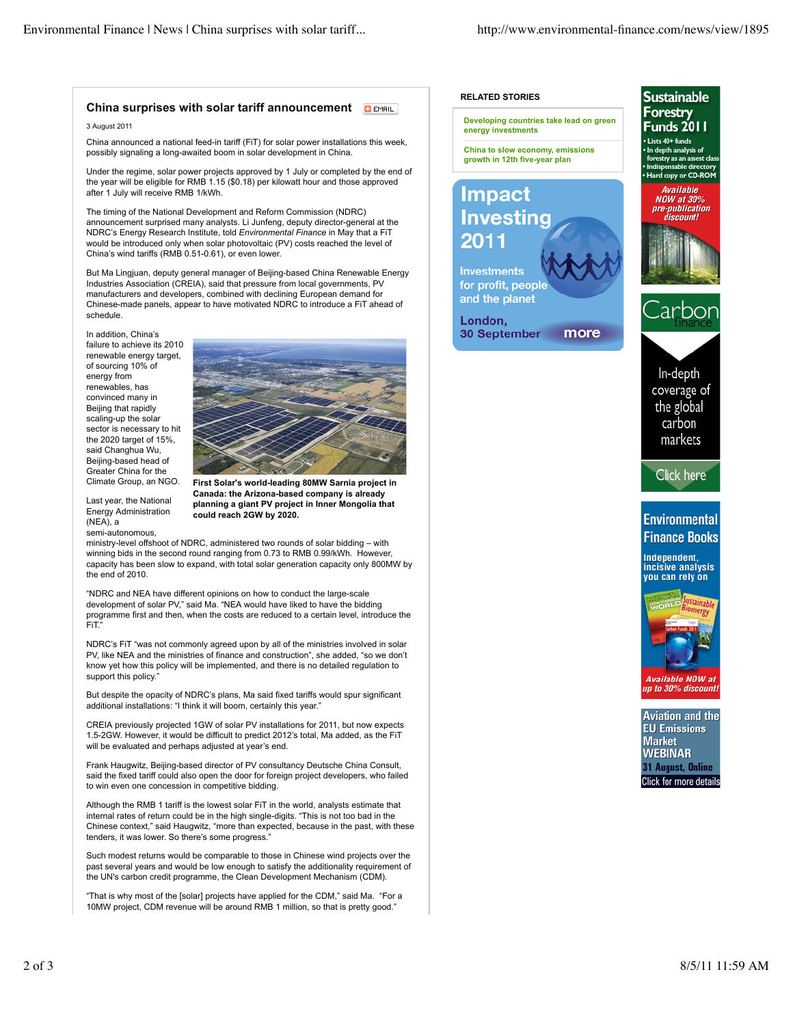### **China surprises with solar tariff announcement DEMAIL**

3 August 2011

China announced a national feed-in tariff (FiT) for solar power installations this week, possibly signaling a long-awaited boom in solar development in China.

Under the regime, solar power projects approved by 1 July or completed by the end of the year will be eligible for RMB 1.15 (\$0.18) per kilowatt hour and those approved after 1 July will receive RMB 1/kWh.

The timing of the National Development and Reform Commission (NDRC) announcement surprised many analysts. Li Junfeng, deputy director-general at the NDRC's Energy Research Institute, told *Environmental Finance* in May that a FiT would be introduced only when solar photovoltaic (PV) costs reached the level of China's wind tariffs (RMB 0.51-0.61), or even lower.

But Ma Lingjuan, deputy general manager of Beijing-based China Renewable Energy Industries Association (CREIA), said that pressure from local governments, PV manufacturers and developers, combined with declining European demand for Chinese-made panels, appear to have motivated NDRC to introduce a FiT ahead of schedule.

In addition, China's failure to achieve its 2010 renewable energy target, of sourcing 10% of energy from renewables, has convinced many in Beijing that rapidly scaling-up the solar sector is necessary to hit the 2020 target of 15%, said Changhua Wu, Beijing-based head of Greater China for the Climate Group, an NGO.



Last year, the National Energy Administration (NEA), a semi-autonomous,

**First Solar's world-leading 80MW Sarnia project in Canada: the Arizona-based company is already planning a giant PV project in Inner Mongolia that could reach 2GW by 2020.**

ministry-level offshoot of NDRC, administered two rounds of solar bidding – with winning bids in the second round ranging from 0.73 to RMB 0.99/kWh. However, capacity has been slow to expand, with total solar generation capacity only 800MW by the end of 2010.

"NDRC and NEA have different opinions on how to conduct the large-scale development of solar PV," said Ma. "NEA would have liked to have the bidding programme first and then, when the costs are reduced to a certain level, introduce the FiT."

NDRC's FiT "was not commonly agreed upon by all of the ministries involved in solar PV, like NEA and the ministries of finance and construction", she added, "so we don't know yet how this policy will be implemented, and there is no detailed regulation to support this policy."

But despite the opacity of NDRC's plans, Ma said fixed tariffs would spur significant additional installations: "I think it will boom, certainly this year."

CREIA previously projected 1GW of solar PV installations for 2011, but now expects 1.5-2GW. However, it would be difficult to predict 2012's total, Ma added, as the FiT will be evaluated and perhaps adjusted at year's end.

Frank Haugwitz, Beijing-based director of PV consultancy Deutsche China Consult, said the fixed tariff could also open the door for foreign project developers, who failed to win even one concession in competitive bidding.

Although the RMB 1 tariff is the lowest solar FiT in the world, analysts estimate that internal rates of return could be in the high single-digits. "This is not too bad in the Chinese context," said Haugwitz, "more than expected, because in the past, with these tenders, it was lower. So there's some progress.'

Such modest returns would be comparable to those in Chinese wind projects over the past several years and would be low enough to satisfy the additionality requirement of the UN's carbon credit programme, the Clean Development Mechanism (CDM).

"That is why most of the [solar] projects have applied for the CDM," said Ma. "For a 10MW project, CDM revenue will be around RMB 1 million, so that is pretty good."



**Developing countries take lead on green energy investments**

**China to slow economy, emissions growth in 12th five-year plan**

# **Impact Investing** 2011

**Investments** for profit, people and the planet

London, 30 September more



Sustainable **Forestry** 

Available NOW at<br>up to 30% discount